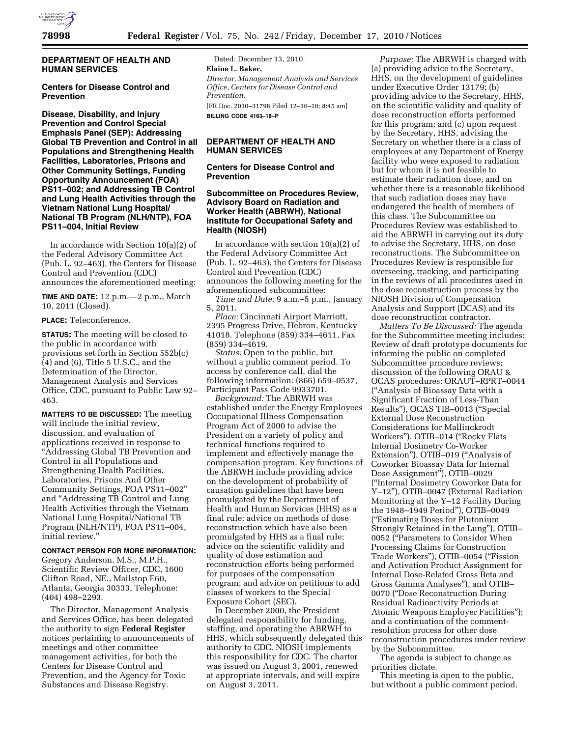

### **DEPARTMENT OF HEALTH AND HUMAN SERVICES**

# **Centers for Disease Control and Prevention**

**Disease, Disability, and Injury Prevention and Control Special Emphasis Panel (SEP): Addressing Global TB Prevention and Control in all Populations and Strengthening Health Facilities, Laboratories, Prisons and Other Community Settings, Funding Opportunity Announcement (FOA) PS11–002; and Addressing TB Control and Lung Health Activities through the Vietnam National Lung Hospital/ National TB Program (NLH/NTP), FOA PS11–004, Initial Review** 

In accordance with Section 10(a)(2) of the Federal Advisory Committee Act (Pub. L. 92–463), the Centers for Disease Control and Prevention (CDC) announces the aforementioned meeting:

**TIME AND DATE:** 12 p.m.—2 p.m., March 10, 2011 (Closed).

**PLACE:** Teleconference.

**STATUS:** The meeting will be closed to the public in accordance with provisions set forth in Section 552b(c) (4) and (6), Title 5 U.S.C., and the Determination of the Director, Management Analysis and Services Office, CDC, pursuant to Public Law 92– 463.

**MATTERS TO BE DISCUSSED:** The meeting will include the initial review, discussion, and evaluation of applications received in response to ''Addressing Global TB Prevention and Control in all Populations and Strengthening Health Facilities, Laboratories, Prisons And Other Community Settings, FOA PS11–002'' and ''Addressing TB Control and Lung Health Activities through the Vietnam National Lung Hospital/National TB Program (NLH/NTP), FOA PS11–004, initial review.''

#### **CONTACT PERSON FOR MORE INFORMATION:**

Gregory Anderson, M.S., M.P.H., Scientific Review Officer, CDC, 1600 Clifton Road, NE., Mailstop E60, Atlanta, Georgia 30333, Telephone: (404) 498–2293.

The Director, Management Analysis and Services Office, has been delegated the authority to sign **Federal Register**  notices pertaining to announcements of meetings and other committee management activities, for both the Centers for Disease Control and Prevention, and the Agency for Toxic Substances and Disease Registry.

Dated: December 13, 2010. **Elaine L. Baker,**  *Director, Management Analysis and Services Office, Centers for Disease Control and Prevention.*  [FR Doc. 2010–31798 Filed 12–16–10; 8:45 am] **BILLING CODE 4163–18–P** 

### **DEPARTMENT OF HEALTH AND HUMAN SERVICES**

**Centers for Disease Control and Prevention** 

# **Subcommittee on Procedures Review, Advisory Board on Radiation and Worker Health (ABRWH), National Institute for Occupational Safety and Health (NIOSH)**

In accordance with section  $10(a)(2)$  of the Federal Advisory Committee Act (Pub. L. 92–463), the Centers for Disease Control and Prevention (CDC) announces the following meeting for the aforementioned subcommittee:

*Time and Date:* 9 a.m.–5 p.m., January 5, 2011.

*Place:* Cincinnati Airport Marriott, 2395 Progress Drive, Hebron, Kentucky 41018. Telephone (859) 334–4611, Fax (859) 334–4619.

*Status:* Open to the public, but without a public comment period. To access by conference call, dial the following information: (866) 659–0537, Participant Pass Code 9933701.

*Background:* The ABRWH was established under the Energy Employees Occupational Illness Compensation Program Act of 2000 to advise the President on a variety of policy and technical functions required to implement and effectively manage the compensation program. Key functions of the ABRWH include providing advice on the development of probability of causation guidelines that have been promulgated by the Department of Health and Human Services (HHS) as a final rule; advice on methods of dose reconstruction which have also been promulgated by HHS as a final rule; advice on the scientific validity and quality of dose estimation and reconstruction efforts being performed for purposes of the compensation program; and advice on petitions to add classes of workers to the Special Exposure Cohort (SEC).

In December 2000, the President delegated responsibility for funding, staffing, and operating the ABRWH to HHS, which subsequently delegated this authority to CDC. NIOSH implements this responsibility for CDC. The charter was issued on August 3, 2001, renewed at appropriate intervals, and will expire on August 3, 2011.

*Purpose:* The ABRWH is charged with (a) providing advice to the Secretary, HHS, on the development of guidelines under Executive Order 13179; (b) providing advice to the Secretary, HHS, on the scientific validity and quality of dose reconstruction efforts performed for this program; and (c) upon request by the Secretary, HHS, advising the Secretary on whether there is a class of employees at any Department of Energy facility who were exposed to radiation but for whom it is not feasible to estimate their radiation dose, and on whether there is a reasonable likelihood that such radiation doses may have endangered the health of members of this class. The Subcommittee on Procedures Review was established to aid the ABRWH in carrying out its duty to advise the Secretary, HHS, on dose reconstructions. The Subcommittee on Procedures Review is responsible for overseeing, tracking, and participating in the reviews of all procedures used in the dose reconstruction process by the NIOSH Division of Compensation Analysis and Support (DCAS) and its dose reconstruction contractor.

*Matters To Be Discussed:* The agenda for the Subcommittee meeting includes: Review of draft prototype documents for informing the public on completed Subcommittee procedure reviews; discussion of the following ORAU & OCAS procedures: ORAUT–RPRT–0044 (''Analysis of Bioassay Data with a Significant Fraction of Less-Than Results''), OCAS TIB–0013 (''Special External Dose Reconstruction Considerations for Mallinckrodt Workers''), OTIB–014 (''Rocky Flats Internal Dosimetry Co-Worker Extension"), OTIB-019 ("Analysis of Coworker Bioassay Data for Internal Dose Assignment''), OTIB–0029 (''Internal Dosimetry Coworker Data for Y–12''), OTIB–0047 (External Radiation Monitoring at the Y–12 Facility During the 1948–1949 Period''), OTIB–0049 (''Estimating Doses for Plutonium Strongly Retained in the Lung''), OTIB– 0052 (''Parameters to Consider When Processing Claims for Construction Trade Workers''), OTIB–0054 (''Fission and Activation Product Assignment for Internal Dose-Related Gross Beta and Gross Gamma Analyses''), and OTIB– 0070 (''Dose Reconstruction During Residual Radioactivity Periods at Atomic Weapons Employer Facilities''); and a continuation of the commentresolution process for other dose reconstruction procedures under review by the Subcommittee.

The agenda is subject to change as priorities dictate.

This meeting is open to the public, but without a public comment period.